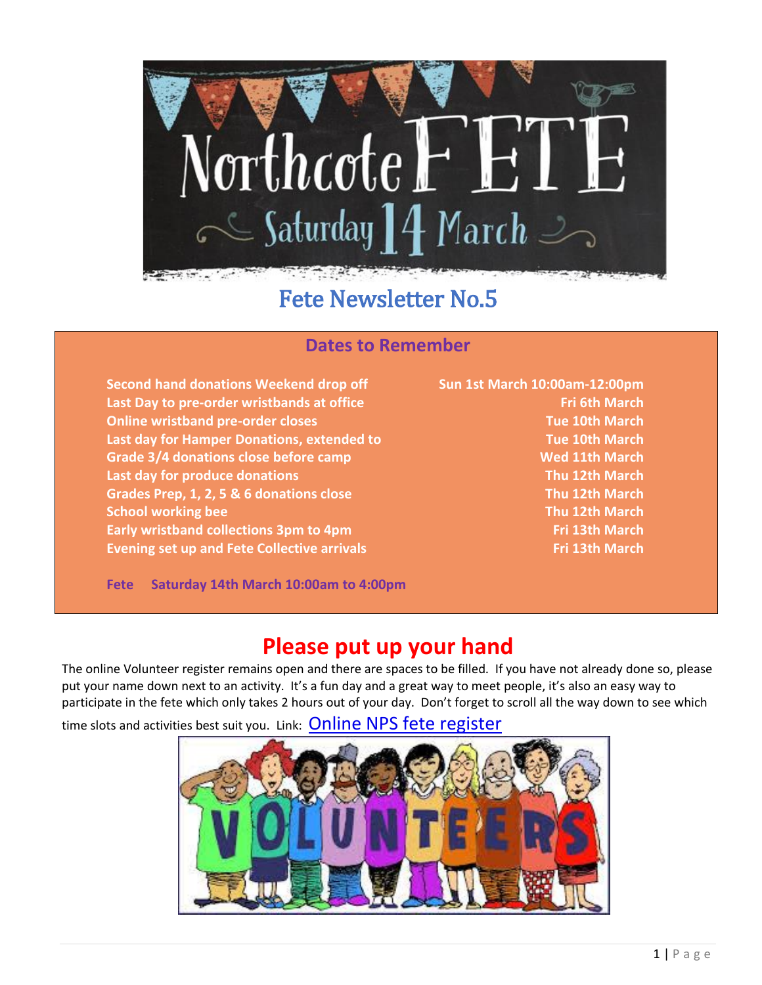

# Fete Newsletter No.5

### **Dates to Remember**

**Second hand donations Weekend drop off Sun 1st March 10:00am-12:00pm Last Day to pre-order wristbands at office Fri 6th March Online wristband pre-order closes Tue 10th March Last day for Hamper Donations, extended to Tue 10th March Grade 3/4 donations close before camp Wed 11th March Last day for produce donations Thu 12th March Grades Prep, 1, 2, 5 & 6 donations close Thu 12th March School working bee Thu 12th March Early wristband collections 3pm to 4pm Fri 13th March Evening set up and Fete Collective arrivals Fri 13th March**

**Fete Saturday 14th March 10:00am to 4:00pm**

### **Please put up your hand**

The online Volunteer register remains open and there are spaces to be filled. If you have not already done so, please put your name down next to an activity. It's a fun day and a great way to meet people, it's also an easy way to participate in the fete which only takes 2 hours out of your day. Don't forget to scroll all the way down to see which

time slots and activities best suit you. Link: **[Online NPS fete register](http://www.jooners.com/guest?l=c6d9d15c-baae-4ca7-abb2-187a5d97eb90)** 

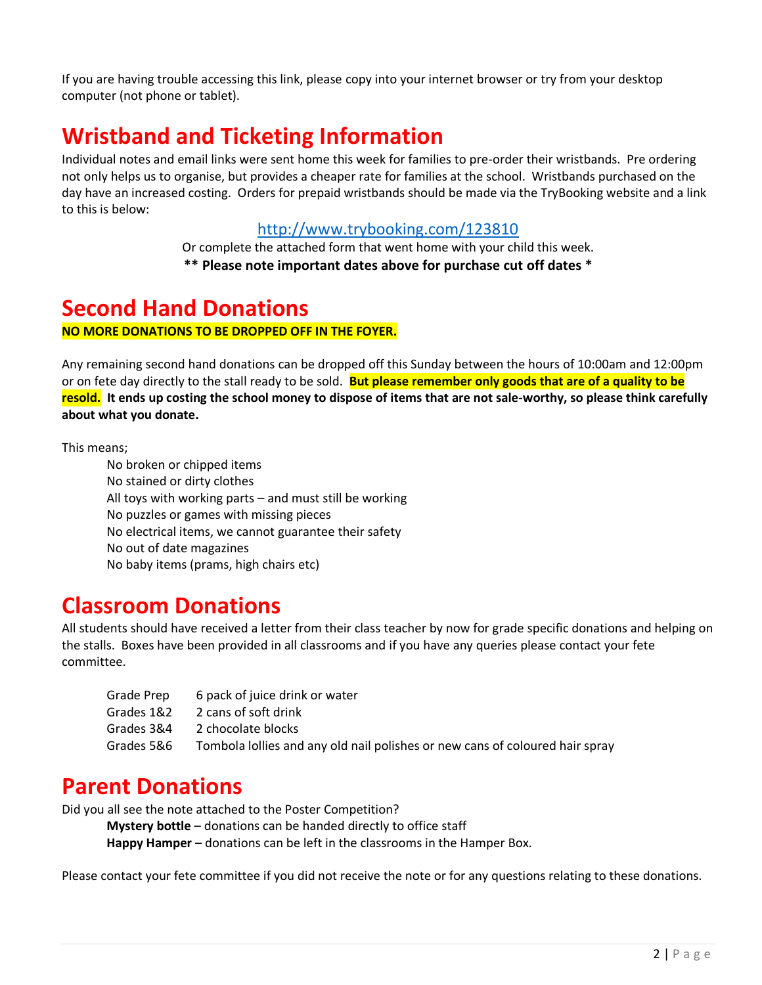If you are having trouble accessing this link, please copy into your internet browser or try from your desktop computer (not phone or tablet).

# **Wristband and Ticketing Information**

Individual notes and email links were sent home this week for families to pre-order their wristbands. Pre ordering not only helps us to organise, but provides a cheaper rate for families at the school. Wristbands purchased on the day have an increased costing. Orders for prepaid wristbands should be made via the TryBooking website and a link to this is below:

#### <http://www.trybooking.com/123810>

Or complete the attached form that went home with your child this week. **\*\* Please note important dates above for purchase cut off dates \***

### **Second Hand Donations**

**NO MORE DONATIONS TO BE DROPPED OFF IN THE FOYER.**

Any remaining second hand donations can be dropped off this Sunday between the hours of 10:00am and 12:00pm or on fete day directly to the stall ready to be sold. **But please remember only goods that are of a quality to be resold. It ends up costing the school money to dispose of items that are not sale-worthy, so please think carefully about what you donate.**

This means;

No broken or chipped items No stained or dirty clothes All toys with working parts – and must still be working No puzzles or games with missing pieces No electrical items, we cannot guarantee their safety No out of date magazines No baby items (prams, high chairs etc)

### **Classroom Donations**

All students should have received a letter from their class teacher by now for grade specific donations and helping on the stalls. Boxes have been provided in all classrooms and if you have any queries please contact your fete committee.

| Grade Prep | 6 pack of juice drink or water                                               |
|------------|------------------------------------------------------------------------------|
| Grades 1&2 | 2 cans of soft drink                                                         |
| Grades 3&4 | 2 chocolate blocks                                                           |
| Grades 5&6 | Tombola lollies and any old nail polishes or new cans of coloured hair spray |

### **Parent Donations**

Did you all see the note attached to the Poster Competition?

**Mystery bottle** – donations can be handed directly to office staff

**Happy Hamper** – donations can be left in the classrooms in the Hamper Box.

Please contact your fete committee if you did not receive the note or for any questions relating to these donations.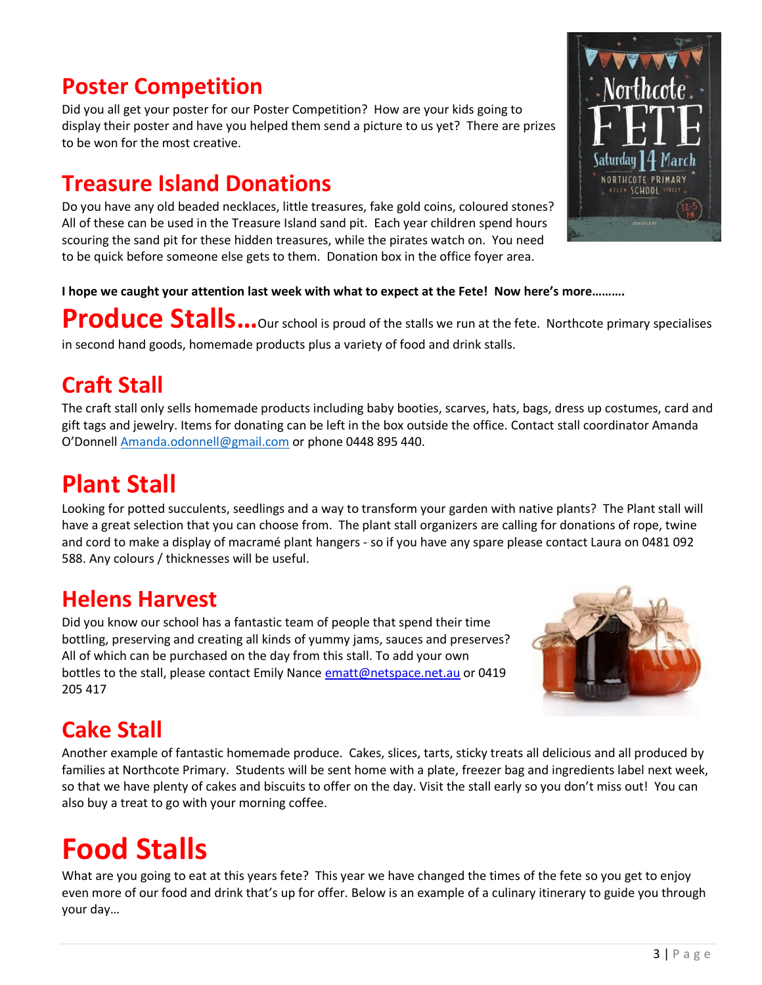# **Poster Competition**

Did you all get your poster for our Poster Competition? How are your kids going to display their poster and have you helped them send a picture to us yet? There are prizes to be won for the most creative.

## **Treasure Island Donations**

Do you have any old beaded necklaces, little treasures, fake gold coins, coloured stones? All of these can be used in the Treasure Island sand pit. Each year children spend hours scouring the sand pit for these hidden treasures, while the pirates watch on. You need to be quick before someone else gets to them. Donation box in the office foyer area.



#### **I hope we caught your attention last week with what to expect at the Fete! Now here's more……….**

**Produce Stalls…**Our school is proud of the stalls we run at the fete. Northcote primary specialises in second hand goods, homemade products plus a variety of food and drink stalls.

# **Craft Stall**

The craft stall only sells homemade products including baby booties, scarves, hats, bags, dress up costumes, card and gift tags and jewelry. Items for donating can be left in the box outside the office. Contact stall coordinator Amanda O'Donnell [Amanda.odonnell@gmail.com](mailto:Amanda.odonnell@gmail.com) or phone 0448 895 440.

# **Plant Stall**

Looking for potted succulents, seedlings and a way to transform your garden with native plants? The Plant stall will have a great selection that you can choose from. The plant stall organizers are calling for donations of rope, twine and cord to make a display of macramé plant hangers - so if you have any spare please contact Laura on 0481 092 588. Any colours / thicknesses will be useful.

# **Helens Harvest**

Did you know our school has a fantastic team of people that spend their time bottling, preserving and creating all kinds of yummy jams, sauces and preserves? All of which can be purchased on the day from this stall. To add your own bottles to the stall, please contact Emily Nance [ematt@netspace.net.au](mailto:ematt@netspace.net.au) or 0419 205 417



# **Cake Stall**

Another example of fantastic homemade produce. Cakes, slices, tarts, sticky treats all delicious and all produced by families at Northcote Primary. Students will be sent home with a plate, freezer bag and ingredients label next week, so that we have plenty of cakes and biscuits to offer on the day. Visit the stall early so you don't miss out! You can also buy a treat to go with your morning coffee.

# **Food Stalls**

What are you going to eat at this years fete? This year we have changed the times of the fete so you get to enjoy even more of our food and drink that's up for offer. Below is an example of a culinary itinerary to guide you through your day…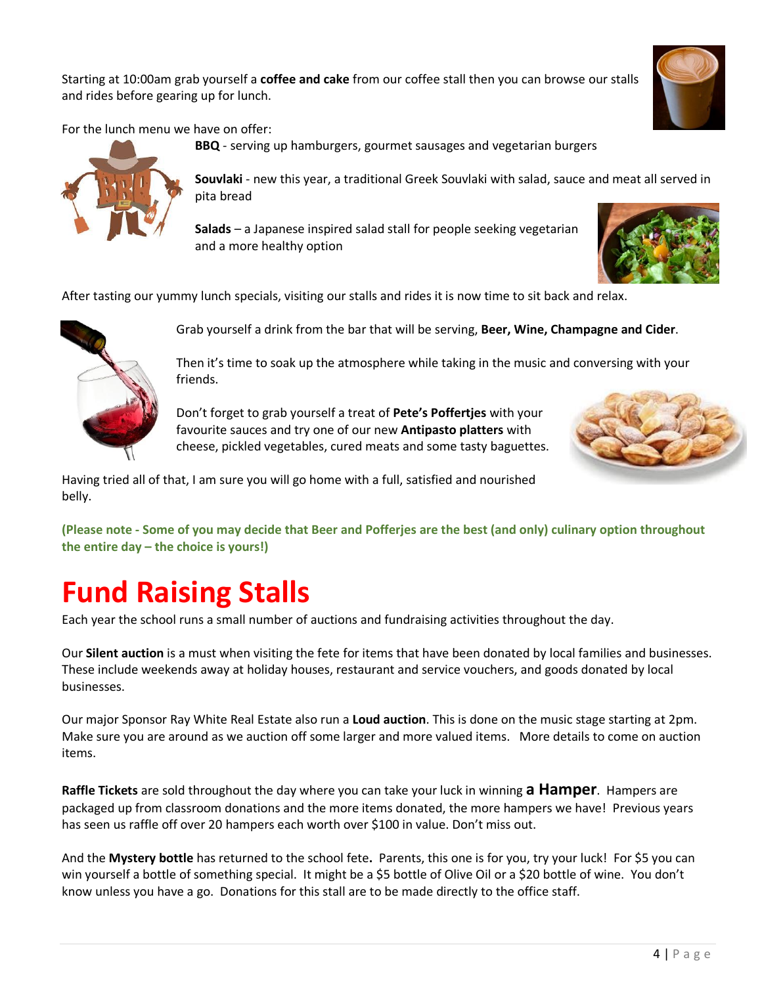Starting at 10:00am grab yourself a **coffee and cake** from our coffee stall then you can browse our stalls and rides before gearing up for lunch.



For the lunch menu we have on offer:

**BBQ** - serving up hamburgers, gourmet sausages and vegetarian burgers pita bread

**Souvlaki** - new this year, a traditional Greek Souvlaki with salad, sauce and meat all served in

**Salads** – a Japanese inspired salad stall for people seeking vegetarian and a more healthy option



After tasting our yummy lunch specials, visiting our stalls and rides it is now time to sit back and relax.



Grab yourself a drink from the bar that will be serving, **Beer, Wine, Champagne and Cider**.

Then it's time to soak up the atmosphere while taking in the music and conversing with your friends.

Don't forget to grab yourself a treat of **Pete's Poffertjes** with your favourite sauces and try one of our new **Antipasto platters** with cheese, pickled vegetables, cured meats and some tasty baguettes.



Having tried all of that, I am sure you will go home with a full, satisfied and nourished belly.

**(Please note - Some of you may decide that Beer and Pofferjes are the best (and only) culinary option throughout the entire day – the choice is yours!)**

# **Fund Raising Stalls**

Each year the school runs a small number of auctions and fundraising activities throughout the day.

Our **Silent auction** is a must when visiting the fete for items that have been donated by local families and businesses. These include weekends away at holiday houses, restaurant and service vouchers, and goods donated by local businesses.

Our major Sponsor Ray White Real Estate also run a **Loud auction**. This is done on the music stage starting at 2pm. Make sure you are around as we auction off some larger and more valued items. More details to come on auction items.

**Raffle Tickets** are sold throughout the day where you can take your luck in winning **a Hamper**. Hampers are packaged up from classroom donations and the more items donated, the more hampers we have! Previous years has seen us raffle off over 20 hampers each worth over \$100 in value. Don't miss out.

And the **Mystery bottle** has returned to the school fete**.** Parents, this one is for you, try your luck! For \$5 you can win yourself a bottle of something special. It might be a \$5 bottle of Olive Oil or a \$20 bottle of wine. You don't know unless you have a go. Donations for this stall are to be made directly to the office staff.